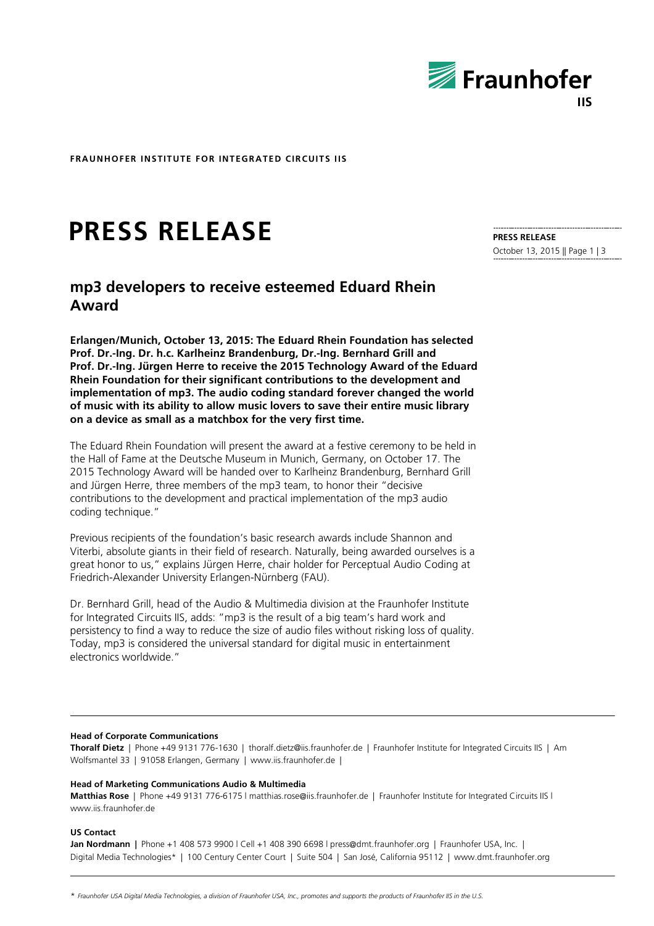

**FRAUNHOFER INSTITUTE FOR INTEGRATED CIRCUITS IIS**

# **PRESS RELEASE**

# **mp3 developers to receive esteemed Eduard Rhein Award**

**Erlangen/Munich, October 13, 2015: The Eduard Rhein Foundation has selected Prof. Dr.-Ing. Dr. h.c. Karlheinz Brandenburg, Dr.-Ing. Bernhard Grill and Prof. Dr.-Ing. Jürgen Herre to receive the 2015 Technology Award of the Eduard Rhein Foundation for their significant contributions to the development and implementation of mp3. The audio coding standard forever changed the world of music with its ability to allow music lovers to save their entire music library on a device as small as a matchbox for the very first time.** 

The Eduard Rhein Foundation will present the award at a festive ceremony to be held in the Hall of Fame at the Deutsche Museum in Munich, Germany, on October 17. The 2015 Technology Award will be handed over to Karlheinz Brandenburg, Bernhard Grill and Jürgen Herre, three members of the mp3 team, to honor their "decisive contributions to the development and practical implementation of the mp3 audio coding technique."

Previous recipients of the foundation's basic research awards include Shannon and Viterbi, absolute giants in their field of research. Naturally, being awarded ourselves is a great honor to us," explains Jürgen Herre, chair holder for Perceptual Audio Coding at Friedrich-Alexander University Erlangen-Nürnberg (FAU).

Dr. Bernhard Grill, head of the Audio & Multimedia division at the Fraunhofer Institute for Integrated Circuits IIS, adds: "mp3 is the result of a big team's hard work and persistency to find a way to reduce the size of audio files without risking loss of quality. Today, mp3 is considered the universal standard for digital music in entertainment electronics worldwide."

#### **Head of Corporate Communications**

**Thoralf Dietz** | Phone +49 9131 776-1630 | thoralf.dietz@iis.fraunhofer.de | Fraunhofer Institute for Integrated Circuits IIS | Am Wolfsmantel 33 | 91058 Erlangen, Germany | www.iis.fraunhofer.de |

#### **Head of Marketing Communications Audio & Multimedia**

**Matthias Rose** | Phone +49 9131 776-6175 l matthias.rose@iis.fraunhofer.de | Fraunhofer Institute for Integrated Circuits IIS l www.iis.fraunhofer.de

#### **US Contact**

**Jan Nordmann |** Phone +1 408 573 9900 l Cell +1 408 390 6698 l press@dmt.fraunhofer.org | Fraunhofer USA, Inc. | Digital Media Technologies\* | 100 Century Center Court | Suite 504 | San José, California 95112 | www.dmt.fraunhofer.org

**PRESS RELEASE** October 13, 2015 || Page 1 | 3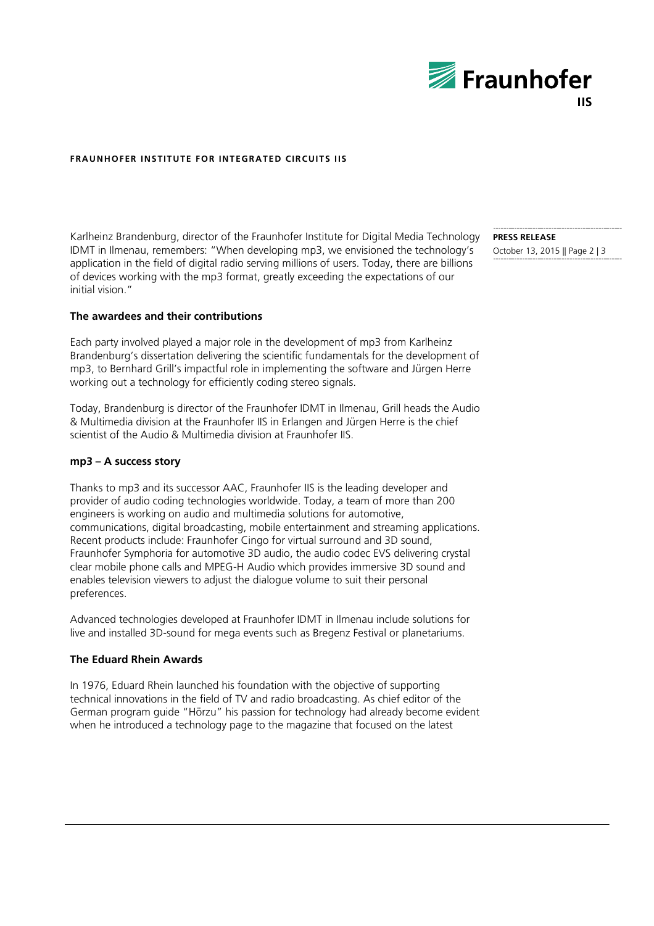

# **FRAUNHOFER INSTITUTE FOR INTEGRATED CIRCUITS IIS**

Karlheinz Brandenburg, director of the Fraunhofer Institute for Digital Media Technology IDMT in Ilmenau, remembers: "When developing mp3, we envisioned the technology's application in the field of digital radio serving millions of users. Today, there are billions of devices working with the mp3 format, greatly exceeding the expectations of our initial vision."

## **The awardees and their contributions**

Each party involved played a major role in the development of mp3 from Karlheinz Brandenburg's dissertation delivering the scientific fundamentals for the development of mp3, to Bernhard Grill's impactful role in implementing the software and Jürgen Herre working out a technology for efficiently coding stereo signals.

Today, Brandenburg is director of the Fraunhofer IDMT in Ilmenau, Grill heads the Audio & Multimedia division at the Fraunhofer IIS in Erlangen and Jürgen Herre is the chief scientist of the Audio & Multimedia division at Fraunhofer IIS.

## **mp3 – A success story**

Thanks to mp3 and its successor AAC, Fraunhofer IIS is the leading developer and provider of audio coding technologies worldwide. Today, a team of more than 200 engineers is working on audio and multimedia solutions for automotive, communications, digital broadcasting, mobile entertainment and streaming applications. Recent products include: Fraunhofer Cingo for virtual surround and 3D sound, Fraunhofer Symphoria for automotive 3D audio, the audio codec EVS delivering crystal clear mobile phone calls and MPEG-H Audio which provides immersive 3D sound and enables television viewers to adjust the dialogue volume to suit their personal preferences.

Advanced technologies developed at Fraunhofer IDMT in Ilmenau include solutions for live and installed 3D-sound for mega events such as Bregenz Festival or planetariums.

# **The Eduard Rhein Awards**

In 1976, Eduard Rhein launched his foundation with the objective of supporting technical innovations in the field of TV and radio broadcasting. As chief editor of the German program guide "Hörzu" his passion for technology had already become evident when he introduced a technology page to the magazine that focused on the latest

**PRESS RELEASE** October 13, 2015 || Page 2 | 3